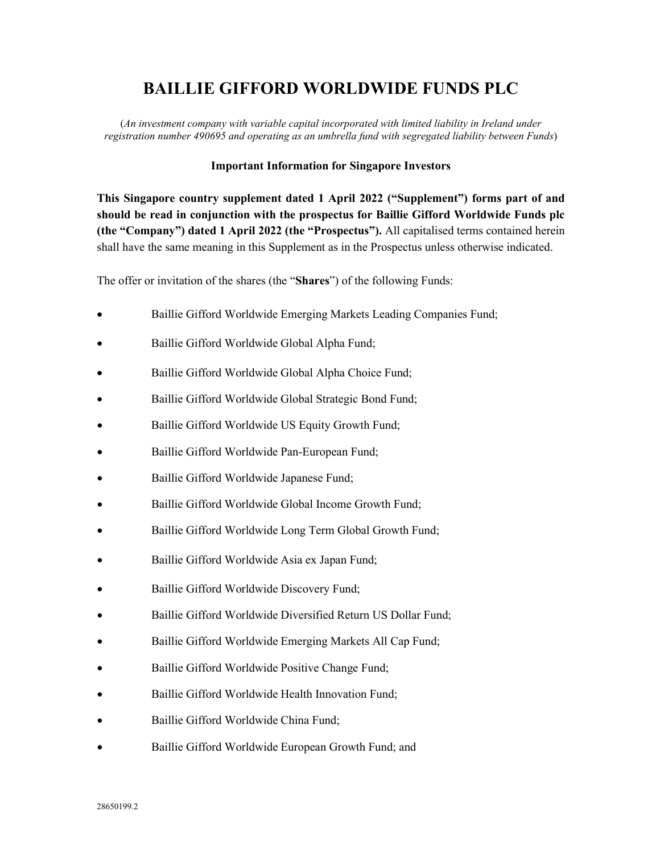## **BAILLIE GIFFORD WORLDWIDE FUNDS PLC**

(*An investment company with variable capital incorporated with limited liability in Ireland under registration number 490695 and operating as an umbrella fund with segregated liability between Funds*)

## **Important Information for Singapore Investors**

**This Singapore country supplement dated 1 April 2022 ("Supplement") forms part of and should be read in conjunction with the prospectus for Baillie Gifford Worldwide Funds plc (the "Company") dated 1 April 2022 (the "Prospectus").** All capitalised terms contained herein shall have the same meaning in this Supplement as in the Prospectus unless otherwise indicated.

The offer or invitation of the shares (the "**Shares**") of the following Funds:

- Baillie Gifford Worldwide Emerging Markets Leading Companies Fund;
- Baillie Gifford Worldwide Global Alpha Fund;
- Baillie Gifford Worldwide Global Alpha Choice Fund;
- Baillie Gifford Worldwide Global Strategic Bond Fund;
- Baillie Gifford Worldwide US Equity Growth Fund;
- Baillie Gifford Worldwide Pan-European Fund;
- Baillie Gifford Worldwide Japanese Fund;
- Baillie Gifford Worldwide Global Income Growth Fund;
- Baillie Gifford Worldwide Long Term Global Growth Fund;
- Baillie Gifford Worldwide Asia ex Japan Fund;
- Baillie Gifford Worldwide Discovery Fund;
- Baillie Gifford Worldwide Diversified Return US Dollar Fund;
- Baillie Gifford Worldwide Emerging Markets All Cap Fund;
- Baillie Gifford Worldwide Positive Change Fund;
- Baillie Gifford Worldwide Health Innovation Fund;
- Baillie Gifford Worldwide China Fund;
- Baillie Gifford Worldwide European Growth Fund; and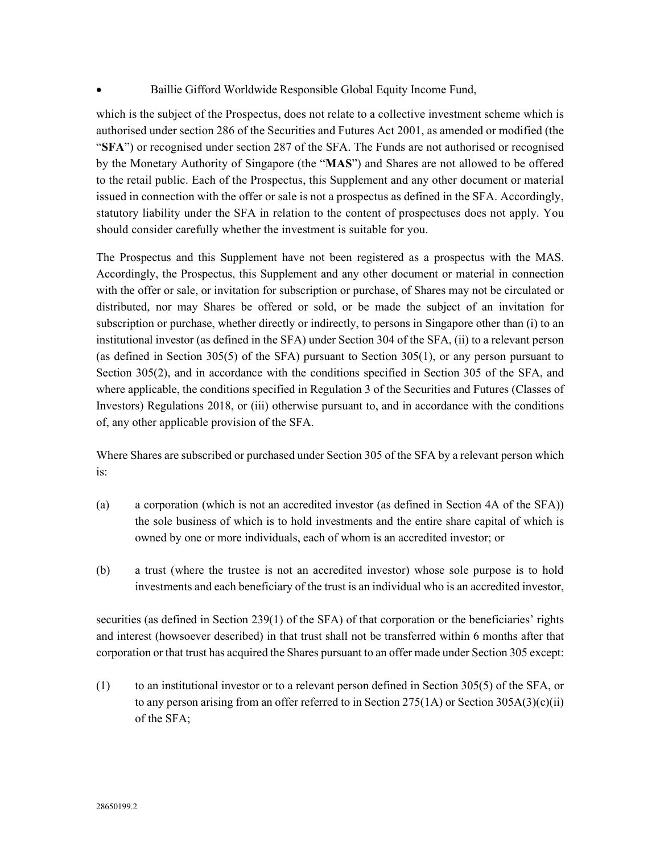## • Baillie Gifford Worldwide Responsible Global Equity Income Fund,

which is the subject of the Prospectus, does not relate to a collective investment scheme which is authorised under section 286 of the Securities and Futures Act 2001, as amended or modified (the "**SFA**") or recognised under section 287 of the SFA. The Funds are not authorised or recognised by the Monetary Authority of Singapore (the "**MAS**") and Shares are not allowed to be offered to the retail public. Each of the Prospectus, this Supplement and any other document or material issued in connection with the offer or sale is not a prospectus as defined in the SFA. Accordingly, statutory liability under the SFA in relation to the content of prospectuses does not apply. You should consider carefully whether the investment is suitable for you.

The Prospectus and this Supplement have not been registered as a prospectus with the MAS. Accordingly, the Prospectus, this Supplement and any other document or material in connection with the offer or sale, or invitation for subscription or purchase, of Shares may not be circulated or distributed, nor may Shares be offered or sold, or be made the subject of an invitation for subscription or purchase, whether directly or indirectly, to persons in Singapore other than (i) to an institutional investor (as defined in the SFA) under Section 304 of the SFA, (ii) to a relevant person (as defined in Section 305(5) of the SFA) pursuant to Section 305(1), or any person pursuant to Section 305(2), and in accordance with the conditions specified in Section 305 of the SFA, and where applicable, the conditions specified in Regulation 3 of the Securities and Futures (Classes of Investors) Regulations 2018, or (iii) otherwise pursuant to, and in accordance with the conditions of, any other applicable provision of the SFA.

Where Shares are subscribed or purchased under Section 305 of the SFA by a relevant person which is:

- (a) a corporation (which is not an accredited investor (as defined in Section 4A of the SFA)) the sole business of which is to hold investments and the entire share capital of which is owned by one or more individuals, each of whom is an accredited investor; or
- (b) a trust (where the trustee is not an accredited investor) whose sole purpose is to hold investments and each beneficiary of the trust is an individual who is an accredited investor,

securities (as defined in Section 239(1) of the SFA) of that corporation or the beneficiaries' rights and interest (howsoever described) in that trust shall not be transferred within 6 months after that corporation or that trust has acquired the Shares pursuant to an offer made under Section 305 except:

(1) to an institutional investor or to a relevant person defined in Section 305(5) of the SFA, or to any person arising from an offer referred to in Section 275(1A) or Section 305A(3)(c)(ii) of the SFA;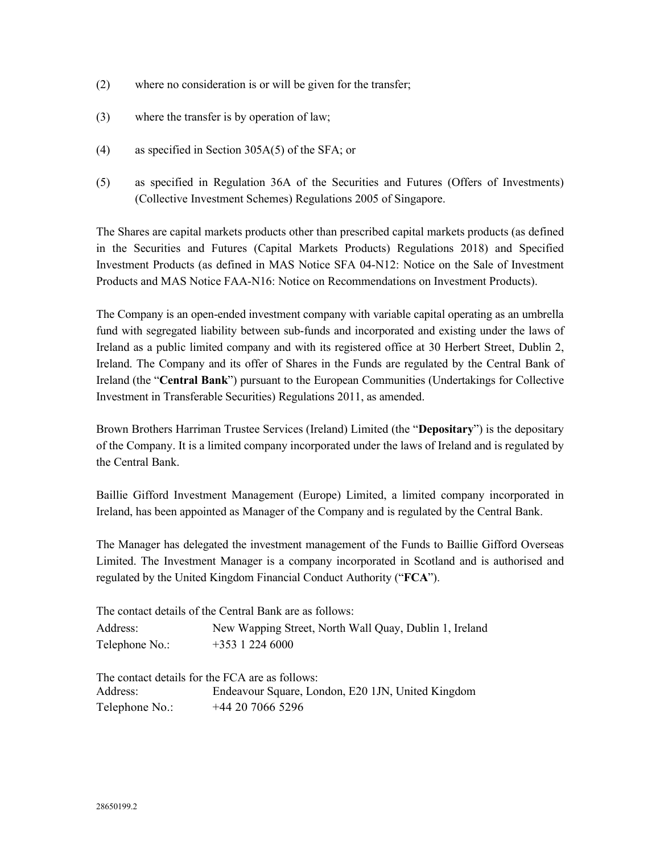- (2) where no consideration is or will be given for the transfer;
- (3) where the transfer is by operation of law;
- (4) as specified in Section 305A(5) of the SFA; or
- (5) as specified in Regulation 36A of the Securities and Futures (Offers of Investments) (Collective Investment Schemes) Regulations 2005 of Singapore.

The Shares are capital markets products other than prescribed capital markets products (as defined in the Securities and Futures (Capital Markets Products) Regulations 2018) and Specified Investment Products (as defined in MAS Notice SFA 04-N12: Notice on the Sale of Investment Products and MAS Notice FAA-N16: Notice on Recommendations on Investment Products).

The Company is an open-ended investment company with variable capital operating as an umbrella fund with segregated liability between sub-funds and incorporated and existing under the laws of Ireland as a public limited company and with its registered office at 30 Herbert Street, Dublin 2, Ireland. The Company and its offer of Shares in the Funds are regulated by the Central Bank of Ireland (the "**Central Bank**") pursuant to the European Communities (Undertakings for Collective Investment in Transferable Securities) Regulations 2011, as amended.

Brown Brothers Harriman Trustee Services (Ireland) Limited (the "**Depositary**") is the depositary of the Company. It is a limited company incorporated under the laws of Ireland and is regulated by the Central Bank.

Baillie Gifford Investment Management (Europe) Limited, a limited company incorporated in Ireland, has been appointed as Manager of the Company and is regulated by the Central Bank.

The Manager has delegated the investment management of the Funds to Baillie Gifford Overseas Limited. The Investment Manager is a company incorporated in Scotland and is authorised and regulated by the United Kingdom Financial Conduct Authority ("**FCA**").

|                | The contact details of the Central Bank are as follows: |
|----------------|---------------------------------------------------------|
| Address:       | New Wapping Street, North Wall Quay, Dublin 1, Ireland  |
| Telephone No.: | $+353$ 1 224 6000                                       |
|                |                                                         |
|                | The contact details for the FCA are as follows:         |
| Address:       | Endeavour Square, London, E20 1JN, United Kingdom       |
| Telephone No.: | $+44$ 20 7066 5296                                      |

28650199.2